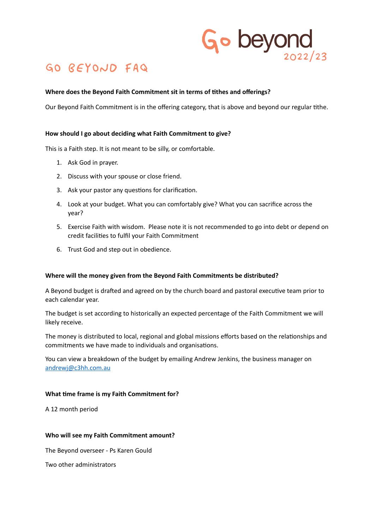# Go beyond  $2022/23$

# GO BEYOND FAQ

# **Where does the Beyond Faith Commitment sit in terms of tithes and offerings?**

Our Beyond Faith Commitment is in the offering category, that is above and beyond our regular tithe.

#### **How should I go about deciding what Faith Commitment to give?**

This is a Faith step. It is not meant to be silly, or comfortable.

- 1. Ask God in prayer.
- 2. Discuss with your spouse or close friend.
- 3. Ask your pastor any questions for clarification.
- 4. Look at your budget. What you can comfortably give? What you can sacrifice across the year?
- 5. Exercise Faith with wisdom. Please note it is not recommended to go into debt or depend on credit facilities to fulfil your Faith Commitment
- 6. Trust God and step out in obedience.

#### **Where will the money given from the Beyond Faith Commitments be distributed?**

A Beyond budget is drafted and agreed on by the church board and pastoral executive team prior to each calendar year.

The budget is set according to historically an expected percentage of the Faith Commitment we will likely receive.

The money is distributed to local, regional and global missions efforts based on the relationships and commitments we have made to individuals and organisations.

You can view a breakdown of the budget by emailing Andrew Jenkins, the business manager on [andrewj@c3hh.com.au](mailto:andrewj@c3hh.com.au)

#### **What time frame is my Faith Commitment for?**

A 12 month period

#### **Who will see my Faith Commitment amount?**

The Beyond overseer - Ps Karen Gould

Two other administrators